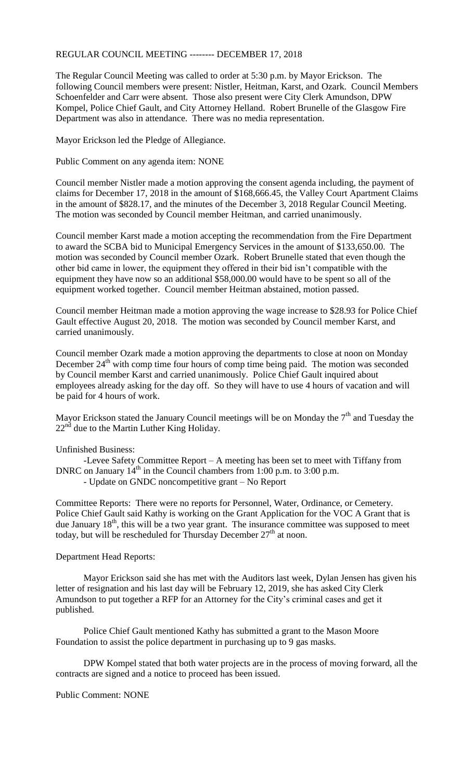## REGULAR COUNCIL MEETING -------- DECEMBER 17, 2018

The Regular Council Meeting was called to order at 5:30 p.m. by Mayor Erickson. The following Council members were present: Nistler, Heitman, Karst, and Ozark. Council Members Schoenfelder and Carr were absent. Those also present were City Clerk Amundson, DPW Kompel, Police Chief Gault, and City Attorney Helland. Robert Brunelle of the Glasgow Fire Department was also in attendance. There was no media representation.

Mayor Erickson led the Pledge of Allegiance.

Public Comment on any agenda item: NONE

Council member Nistler made a motion approving the consent agenda including, the payment of claims for December 17, 2018 in the amount of \$168,666.45, the Valley Court Apartment Claims in the amount of \$828.17, and the minutes of the December 3, 2018 Regular Council Meeting. The motion was seconded by Council member Heitman, and carried unanimously.

Council member Karst made a motion accepting the recommendation from the Fire Department to award the SCBA bid to Municipal Emergency Services in the amount of \$133,650.00. The motion was seconded by Council member Ozark. Robert Brunelle stated that even though the other bid came in lower, the equipment they offered in their bid isn't compatible with the equipment they have now so an additional \$58,000.00 would have to be spent so all of the equipment worked together. Council member Heitman abstained, motion passed.

Council member Heitman made a motion approving the wage increase to \$28.93 for Police Chief Gault effective August 20, 2018. The motion was seconded by Council member Karst, and carried unanimously.

Council member Ozark made a motion approving the departments to close at noon on Monday December  $24<sup>th</sup>$  with comp time four hours of comp time being paid. The motion was seconded by Council member Karst and carried unanimously. Police Chief Gault inquired about employees already asking for the day off. So they will have to use 4 hours of vacation and will be paid for 4 hours of work.

Mayor Erickson stated the January Council meetings will be on Monday the  $7<sup>th</sup>$  and Tuesday the  $22<sup>nd</sup>$  due to the Martin Luther King Holiday.

## Unfinished Business:

-Levee Safety Committee Report – A meeting has been set to meet with Tiffany from DNRC on January  $14<sup>th</sup>$  in the Council chambers from 1:00 p.m. to 3:00 p.m.

- Update on GNDC noncompetitive grant – No Report

Committee Reports: There were no reports for Personnel, Water, Ordinance, or Cemetery. Police Chief Gault said Kathy is working on the Grant Application for the VOC A Grant that is due January  $18<sup>th</sup>$ , this will be a two year grant. The insurance committee was supposed to meet today, but will be rescheduled for Thursday December 27<sup>th</sup> at noon.

## Department Head Reports:

Mayor Erickson said she has met with the Auditors last week, Dylan Jensen has given his letter of resignation and his last day will be February 12, 2019, she has asked City Clerk Amundson to put together a RFP for an Attorney for the City's criminal cases and get it published.

Police Chief Gault mentioned Kathy has submitted a grant to the Mason Moore Foundation to assist the police department in purchasing up to 9 gas masks.

DPW Kompel stated that both water projects are in the process of moving forward, all the contracts are signed and a notice to proceed has been issued.

Public Comment: NONE